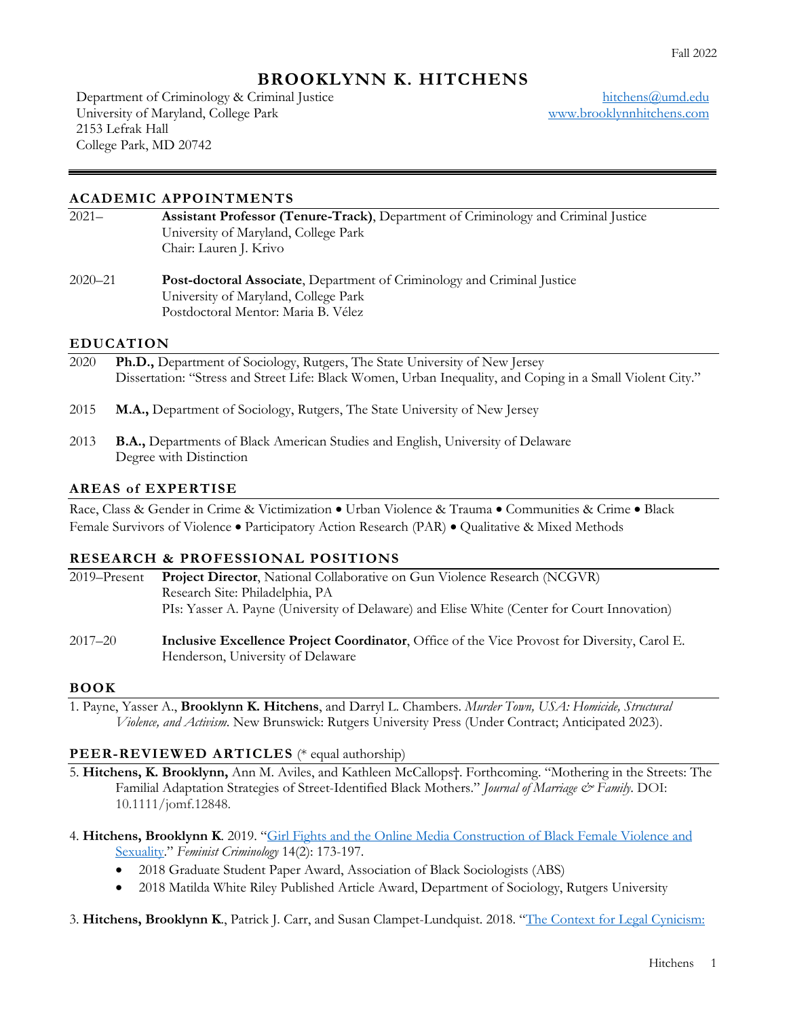# **BROOKLYNN K. HITCHENS**

Department of Criminology & Criminal Justice University of Maryland, College Park 2153 Lefrak Hall College Park, MD 20742

hitchens@umd.edu www.brooklynnhitchens.com

### **ACADEMIC APPOINTMENTS**

| $2021 -$ | <b>Assistant Professor (Tenure-Track), Department of Criminology and Criminal Justice</b> |
|----------|-------------------------------------------------------------------------------------------|
|          | University of Maryland, College Park                                                      |
|          | Chair: Lauren J. Krivo                                                                    |
|          |                                                                                           |

2020–21 **Post-doctoral Associate**, Department of Criminology and Criminal Justice University of Maryland, College Park Postdoctoral Mentor: Maria B. Vélez

#### **EDUCATION**

- 2020 **Ph.D.,** Department of Sociology, Rutgers, The State University of New Jersey Dissertation: "Stress and Street Life: Black Women, Urban Inequality, and Coping in a Small Violent City."
- 2015 **M.A.,** Department of Sociology, Rutgers, The State University of New Jersey
- 2013 **B.A.,** Departments of Black American Studies and English, University of Delaware Degree with Distinction

#### **AREAS of EXPERTISE**

Race, Class & Gender in Crime & Victimization • Urban Violence & Trauma • Communities & Crime • Black Female Survivors of Violence • Participatory Action Research (PAR) • Qualitative & Mixed Methods

#### **RESEARCH & PROFESSIONAL POSITIONS**

| 2019–Present | <b>Project Director, National Collaborative on Gun Violence Research (NCGVR)</b>            |  |  |  |
|--------------|---------------------------------------------------------------------------------------------|--|--|--|
|              | Research Site: Philadelphia, PA                                                             |  |  |  |
|              | PIs: Yasser A. Payne (University of Delaware) and Elise White (Center for Court Innovation) |  |  |  |
|              |                                                                                             |  |  |  |

2017–20 **Inclusive Excellence Project Coordinator**, Office of the Vice Provost for Diversity, Carol E. Henderson, University of Delaware

#### **BOOK**

1. Payne, Yasser A., **Brooklynn K. Hitchens**, and Darryl L. Chambers. *Murder Town, USA: Homicide, Structural Violence, and Activism*. New Brunswick: Rutgers University Press (Under Contract; Anticipated 2023).

#### **PEER-REVIEWED ARTICLES** (\* equal authorship)

- 5. **Hitchens, K. Brooklynn,** Ann M. Aviles, and Kathleen McCallops†. Forthcoming. "Mothering in the Streets: The Familial Adaptation Strategies of Street-Identified Black Mothers." *Journal of Marriage & Family*. DOI: 10.1111/jomf.12848.
- 4. **Hitchens, Brooklynn K**. 2019. "Girl Fights and the Online Media Construction of Black Female Violence and Sexuality." *Feminist Criminology* 14(2): 173-197.
	- 2018 Graduate Student Paper Award, Association of Black Sociologists (ABS)
	- 2018 Matilda White Riley Published Article Award, Department of Sociology, Rutgers University
- 3. **Hitchens, Brooklynn K**., Patrick J. Carr, and Susan Clampet-Lundquist. 2018. "The Context for Legal Cynicism: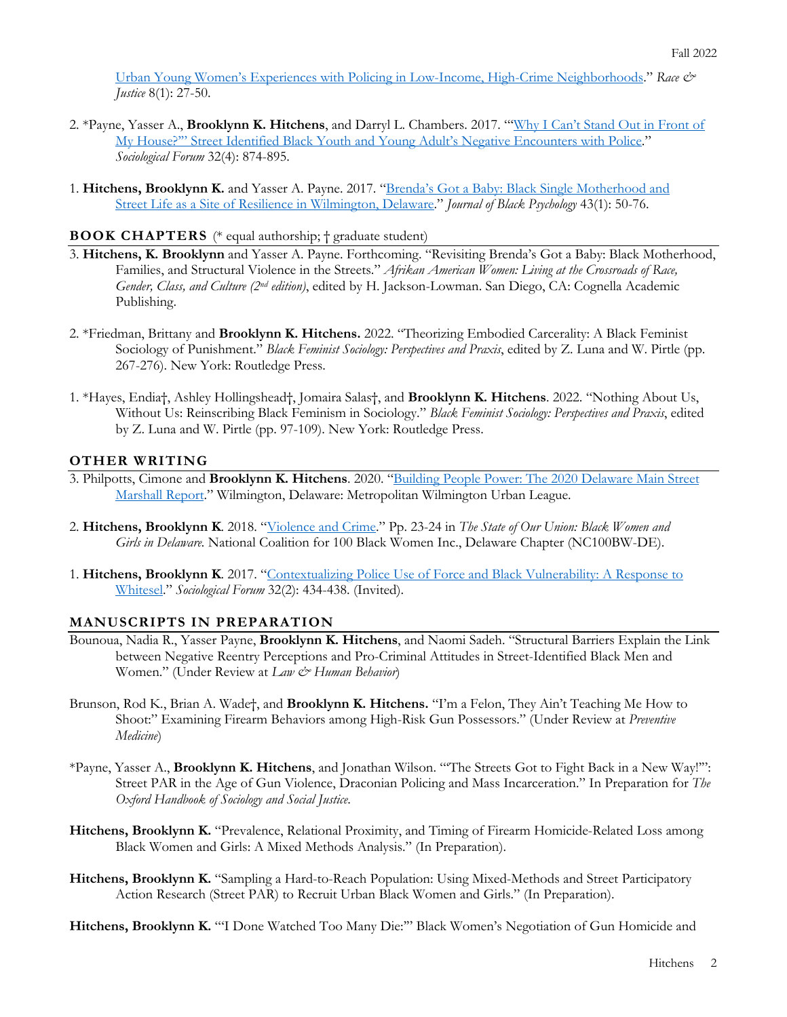Urban Young Women's Experiences with Policing in Low-Income, High-Crime Neighborhoods." *Race & Justice* 8(1): 27-50.

- 2. \*Payne, Yasser A., **Brooklynn K. Hitchens**, and Darryl L. Chambers. 2017. "'Why I Can't Stand Out in Front of My House?'" Street Identified Black Youth and Young Adult's Negative Encounters with Police." *Sociological Forum* 32(4): 874-895.
- 1. **Hitchens, Brooklynn K.** and Yasser A. Payne. 2017. "Brenda's Got a Baby: Black Single Motherhood and Street Life as a Site of Resilience in Wilmington, Delaware." *Journal of Black Psychology* 43(1): 50-76.

#### **BOOK CHAPTERS** (\* equal authorship; † graduate student)

- 3. **Hitchens, K. Brooklynn** and Yasser A. Payne. Forthcoming. "Revisiting Brenda's Got a Baby: Black Motherhood, Families, and Structural Violence in the Streets." *Afrikan American Women: Living at the Crossroads of Race, Gender, Class, and Culture (2nd edition)*, edited by H. Jackson-Lowman. San Diego, CA: Cognella Academic Publishing.
- 2. \*Friedman, Brittany and **Brooklynn K. Hitchens.** 2022. "Theorizing Embodied Carcerality: A Black Feminist Sociology of Punishment." *Black Feminist Sociology: Perspectives and Praxis*, edited by Z. Luna and W. Pirtle (pp. 267-276). New York: Routledge Press.
- 1. \*Hayes, Endia†, Ashley Hollingshead†, Jomaira Salas†, and **Brooklynn K. Hitchens**. 2022. "Nothing About Us, Without Us: Reinscribing Black Feminism in Sociology." *Black Feminist Sociology: Perspectives and Praxis*, edited by Z. Luna and W. Pirtle (pp. 97-109). New York: Routledge Press.

### **OTHER WRITING**

- 3. Philpotts, Cimone and **Brooklynn K. Hitchens**. 2020. "Building People Power: The 2020 Delaware Main Street Marshall Report." Wilmington, Delaware: Metropolitan Wilmington Urban League.
- 2. **Hitchens, Brooklynn K**. 2018. "Violence and Crime." Pp. 23-24 in *The State of Our Union: Black Women and Girls in Delaware.* National Coalition for 100 Black Women Inc., Delaware Chapter (NC100BW-DE).
- 1. **Hitchens, Brooklynn K**. 2017. "Contextualizing Police Use of Force and Black Vulnerability: A Response to Whitesel." *Sociological Forum* 32(2): 434-438. (Invited).

### **MANUSCRIPTS IN PREPARATION**

- Bounoua, Nadia R., Yasser Payne, **Brooklynn K. Hitchens**, and Naomi Sadeh. "Structural Barriers Explain the Link between Negative Reentry Perceptions and Pro-Criminal Attitudes in Street-Identified Black Men and Women." (Under Review at *Law & Human Behavior*)
- Brunson, Rod K., Brian A. Wade†, and **Brooklynn K. Hitchens.** "I'm a Felon, They Ain't Teaching Me How to Shoot:" Examining Firearm Behaviors among High-Risk Gun Possessors." (Under Review at *Preventive Medicine*)
- \*Payne, Yasser A., **Brooklynn K. Hitchens**, and Jonathan Wilson. "'The Streets Got to Fight Back in a New Way!'": Street PAR in the Age of Gun Violence, Draconian Policing and Mass Incarceration." In Preparation for *The Oxford Handbook of Sociology and Social Justice*.
- **Hitchens, Brooklynn K.** "Prevalence, Relational Proximity, and Timing of Firearm Homicide-Related Loss among Black Women and Girls: A Mixed Methods Analysis." (In Preparation).
- **Hitchens, Brooklynn K.** "Sampling a Hard-to-Reach Population: Using Mixed-Methods and Street Participatory Action Research (Street PAR) to Recruit Urban Black Women and Girls." (In Preparation).

**Hitchens, Brooklynn K.** "'I Done Watched Too Many Die:'" Black Women's Negotiation of Gun Homicide and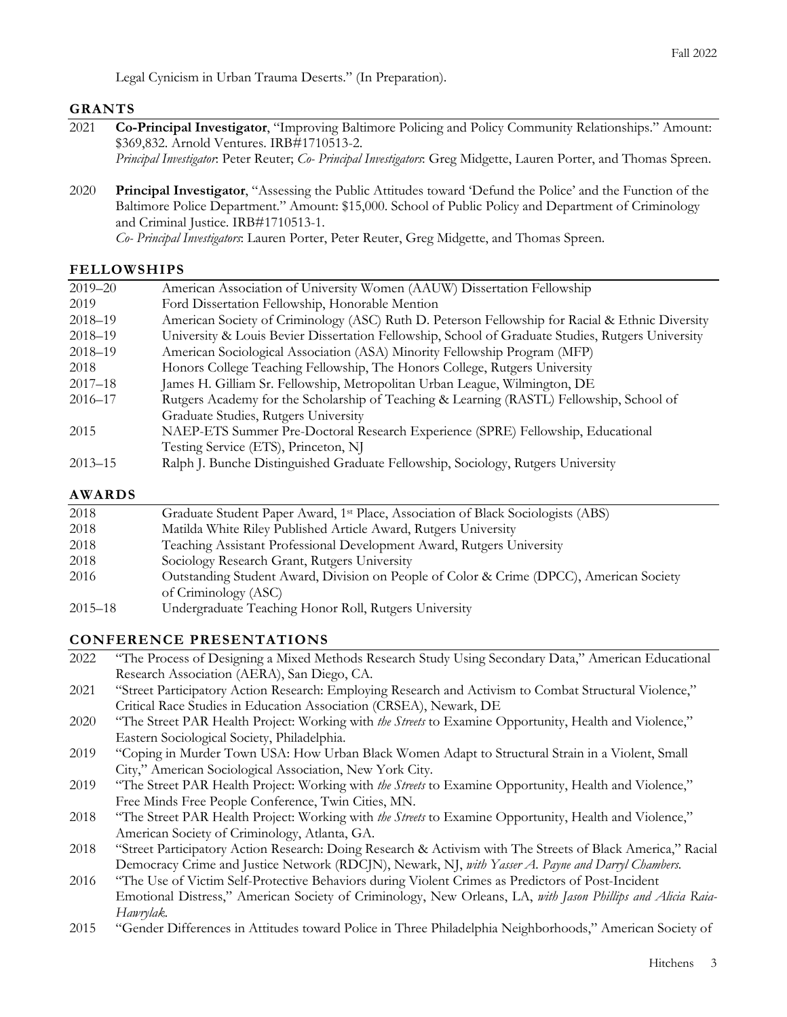Legal Cynicism in Urban Trauma Deserts." (In Preparation).

## **GRANTS**

- 2021 **Co-Principal Investigator**, "Improving Baltimore Policing and Policy Community Relationships." Amount: \$369,832. Arnold Ventures. IRB#1710513-2.
	- *Principal Investigator*: Peter Reuter; *Co- Principal Investigators*: Greg Midgette, Lauren Porter, and Thomas Spreen.
- 2020 **Principal Investigator**, "Assessing the Public Attitudes toward 'Defund the Police' and the Function of the Baltimore Police Department." Amount: \$15,000. School of Public Policy and Department of Criminology and Criminal Justice. IRB#1710513-1.

*Co- Principal Investigators*: Lauren Porter, Peter Reuter, Greg Midgette, and Thomas Spreen.

# **FELLOWSHIPS**

| $2019 - 20$   | American Association of University Women (AAUW) Dissertation Fellowship                           |  |  |  |  |
|---------------|---------------------------------------------------------------------------------------------------|--|--|--|--|
| 2019          | Ford Dissertation Fellowship, Honorable Mention                                                   |  |  |  |  |
| $2018 - 19$   | American Society of Criminology (ASC) Ruth D. Peterson Fellowship for Racial & Ethnic Diversity   |  |  |  |  |
| $2018 - 19$   | University & Louis Bevier Dissertation Fellowship, School of Graduate Studies, Rutgers University |  |  |  |  |
| $2018 - 19$   | American Sociological Association (ASA) Minority Fellowship Program (MFP)                         |  |  |  |  |
| 2018          | Honors College Teaching Fellowship, The Honors College, Rutgers University                        |  |  |  |  |
| $2017 - 18$   | James H. Gilliam Sr. Fellowship, Metropolitan Urban League, Wilmington, DE                        |  |  |  |  |
| $2016 - 17$   | Rutgers Academy for the Scholarship of Teaching & Learning (RASTL) Fellowship, School of          |  |  |  |  |
|               | Graduate Studies, Rutgers University                                                              |  |  |  |  |
| 2015          | NAEP-ETS Summer Pre-Doctoral Research Experience (SPRE) Fellowship, Educational                   |  |  |  |  |
|               | Testing Service (ETS), Princeton, NJ                                                              |  |  |  |  |
| $2013 - 15$   | Ralph J. Bunche Distinguished Graduate Fellowship, Sociology, Rutgers University                  |  |  |  |  |
| <b>AWARDS</b> |                                                                                                   |  |  |  |  |
| 2018          | Graduate Student Paper Award, 1st Place, Association of Black Sociologists (ABS)                  |  |  |  |  |
| 2018          | Matilda White Riley Published Article Award, Rutgers University                                   |  |  |  |  |
| 2018          | Teaching Assistant Professional Development Award, Rutgers University                             |  |  |  |  |

- 2018 Sociology Research Grant, Rutgers University
- 2016 Outstanding Student Award, Division on People of Color & Crime (DPCC), American Society of Criminology (ASC)
- 2015–18 Undergraduate Teaching Honor Roll, Rutgers University

# **CONFERENCE PRESENTATIONS**

- 2022 "The Process of Designing a Mixed Methods Research Study Using Secondary Data," American Educational Research Association (AERA), San Diego, CA.
- 2021 "Street Participatory Action Research: Employing Research and Activism to Combat Structural Violence," Critical Race Studies in Education Association (CRSEA), Newark, DE
- 2020 "The Street PAR Health Project: Working with *the Streets* to Examine Opportunity, Health and Violence," Eastern Sociological Society, Philadelphia.
- 2019 "Coping in Murder Town USA: How Urban Black Women Adapt to Structural Strain in a Violent, Small City," American Sociological Association, New York City.
- 2019 "The Street PAR Health Project: Working with *the Streets* to Examine Opportunity, Health and Violence," Free Minds Free People Conference, Twin Cities, MN.
- 2018 "The Street PAR Health Project: Working with *the Streets* to Examine Opportunity, Health and Violence," American Society of Criminology, Atlanta, GA.
- 2018 "Street Participatory Action Research: Doing Research & Activism with The Streets of Black America," Racial Democracy Crime and Justice Network (RDCJN), Newark, NJ, *with Yasser A. Payne and Darryl Chambers.*
- 2016 "The Use of Victim Self-Protective Behaviors during Violent Crimes as Predictors of Post-Incident Emotional Distress," American Society of Criminology, New Orleans, LA, *with Jason Phillips and Alicia Raia-Hawrylak.*
- 2015 "Gender Differences in Attitudes toward Police in Three Philadelphia Neighborhoods," American Society of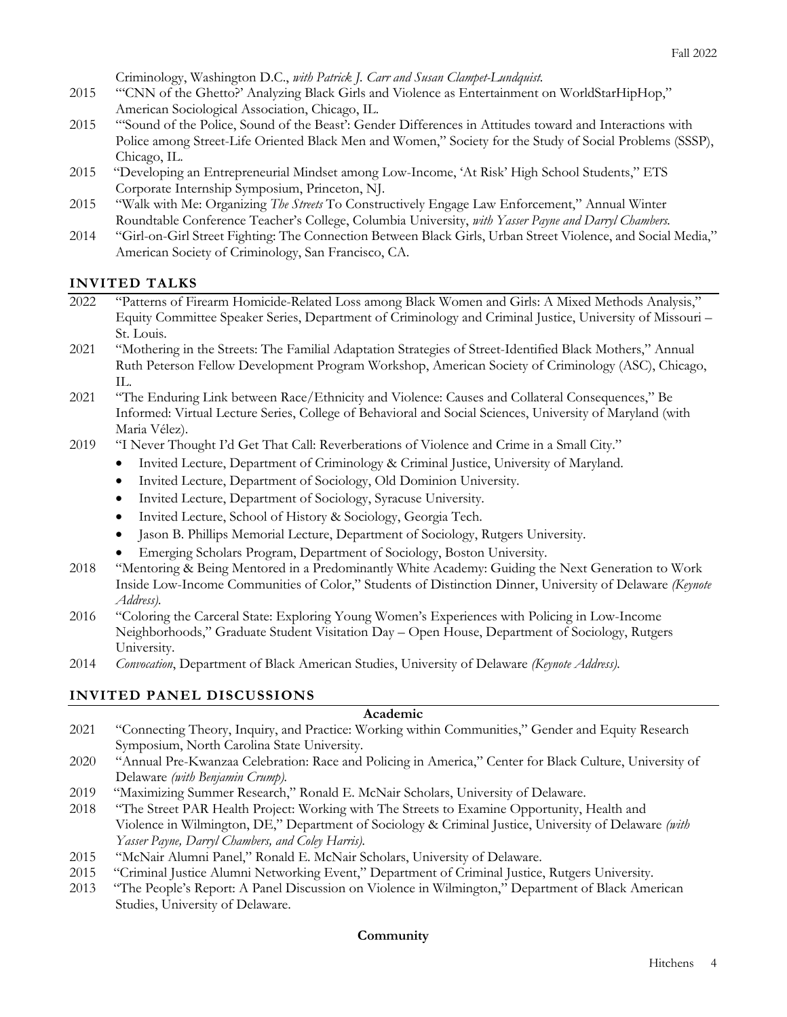Criminology, Washington D.C., *with Patrick J. Carr and Susan Clampet-Lundquist.*

- 2015 "'CNN of the Ghetto?' Analyzing Black Girls and Violence as Entertainment on WorldStarHipHop," American Sociological Association, Chicago, IL.
- 2015 "'Sound of the Police, Sound of the Beast': Gender Differences in Attitudes toward and Interactions with Police among Street-Life Oriented Black Men and Women," Society for the Study of Social Problems (SSSP), Chicago, IL.
- 2015 "Developing an Entrepreneurial Mindset among Low-Income, 'At Risk' High School Students," ETS Corporate Internship Symposium, Princeton, NJ.
- 2015 "Walk with Me: Organizing *The Streets* To Constructively Engage Law Enforcement," Annual Winter Roundtable Conference Teacher's College, Columbia University, *with Yasser Payne and Darryl Chambers.*
- 2014 "Girl-on-Girl Street Fighting: The Connection Between Black Girls, Urban Street Violence, and Social Media," American Society of Criminology, San Francisco, CA.

# **INVITED TALKS**

- 2022 "Patterns of Firearm Homicide-Related Loss among Black Women and Girls: A Mixed Methods Analysis," Equity Committee Speaker Series, Department of Criminology and Criminal Justice, University of Missouri – St. Louis.
- 2021 "Mothering in the Streets: The Familial Adaptation Strategies of Street-Identified Black Mothers," Annual Ruth Peterson Fellow Development Program Workshop, American Society of Criminology (ASC), Chicago, IL.
- 2021 "The Enduring Link between Race/Ethnicity and Violence: Causes and Collateral Consequences," Be Informed: Virtual Lecture Series, College of Behavioral and Social Sciences, University of Maryland (with Maria Vélez).
- 2019 "I Never Thought I'd Get That Call: Reverberations of Violence and Crime in a Small City."
	- Invited Lecture, Department of Criminology & Criminal Justice, University of Maryland.
	- Invited Lecture, Department of Sociology, Old Dominion University.
	- Invited Lecture, Department of Sociology, Syracuse University.
	- Invited Lecture, School of History & Sociology, Georgia Tech.
	- Jason B. Phillips Memorial Lecture, Department of Sociology, Rutgers University.
	- Emerging Scholars Program, Department of Sociology, Boston University.
- 2018 "Mentoring & Being Mentored in a Predominantly White Academy: Guiding the Next Generation to Work Inside Low-Income Communities of Color," Students of Distinction Dinner, University of Delaware *(Keynote Address).*
- 2016 "Coloring the Carceral State: Exploring Young Women's Experiences with Policing in Low-Income Neighborhoods," Graduate Student Visitation Day – Open House, Department of Sociology, Rutgers University.
- 2014 *Convocation*, Department of Black American Studies, University of Delaware *(Keynote Address).*

# **INVITED PANEL DISCUSSIONS**

### **Academic**

- 2021 "Connecting Theory, Inquiry, and Practice: Working within Communities," Gender and Equity Research Symposium, North Carolina State University.
- 2020 "Annual Pre-Kwanzaa Celebration: Race and Policing in America," Center for Black Culture, University of Delaware *(with Benjamin Crump).*
- 2019 "Maximizing Summer Research," Ronald E. McNair Scholars, University of Delaware.
- 2018 "The Street PAR Health Project: Working with The Streets to Examine Opportunity, Health and Violence in Wilmington, DE," Department of Sociology & Criminal Justice, University of Delaware *(with Yasser Payne, Darryl Chambers, and Coley Harris).*
- 2015 "McNair Alumni Panel," Ronald E. McNair Scholars, University of Delaware.
- 2015 "Criminal Justice Alumni Networking Event," Department of Criminal Justice, Rutgers University.
- 2013 "The People's Report: A Panel Discussion on Violence in Wilmington," Department of Black American Studies, University of Delaware.

### **Community**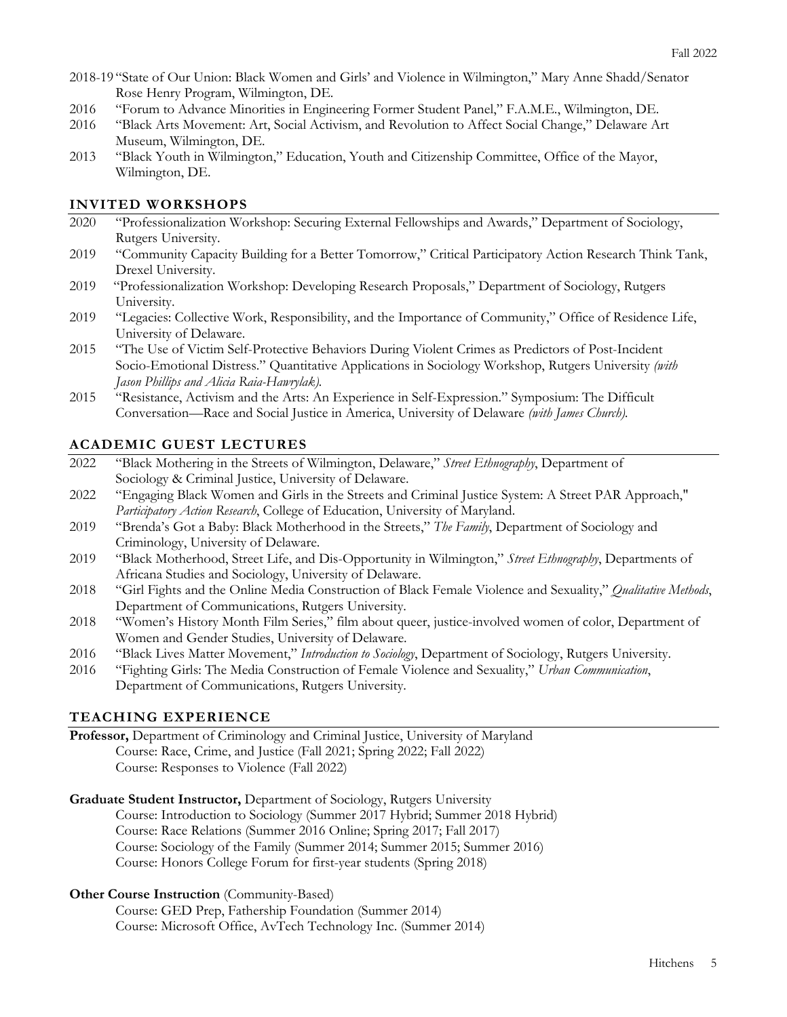- 2018-19 "State of Our Union: Black Women and Girls' and Violence in Wilmington," Mary Anne Shadd/Senator Rose Henry Program, Wilmington, DE.
- 2016 "Forum to Advance Minorities in Engineering Former Student Panel," F.A.M.E., Wilmington, DE.
- 2016 "Black Arts Movement: Art, Social Activism, and Revolution to Affect Social Change," Delaware Art Museum, Wilmington, DE.
- 2013 "Black Youth in Wilmington," Education, Youth and Citizenship Committee, Office of the Mayor, Wilmington, DE.

# **INVITED WORKSHOPS**

- 2020 "Professionalization Workshop: Securing External Fellowships and Awards," Department of Sociology, Rutgers University.
- 2019 "Community Capacity Building for a Better Tomorrow," Critical Participatory Action Research Think Tank, Drexel University.
- 2019 "Professionalization Workshop: Developing Research Proposals," Department of Sociology, Rutgers University.
- 2019 "Legacies: Collective Work, Responsibility, and the Importance of Community," Office of Residence Life, University of Delaware.
- 2015 "The Use of Victim Self-Protective Behaviors During Violent Crimes as Predictors of Post-Incident Socio-Emotional Distress." Quantitative Applications in Sociology Workshop, Rutgers University *(with Jason Phillips and Alicia Raia-Hawrylak).*
- 2015 "Resistance, Activism and the Arts: An Experience in Self-Expression." Symposium: The Difficult Conversation—Race and Social Justice in America, University of Delaware *(with James Church).*

# **ACADEMIC GUEST LECTURES**

- 2022 "Black Mothering in the Streets of Wilmington, Delaware," *Street Ethnography*, Department of Sociology & Criminal Justice, University of Delaware.
- 2022 "Engaging Black Women and Girls in the Streets and Criminal Justice System: A Street PAR Approach," *Participatory Action Research*, College of Education, University of Maryland.
- 2019 "Brenda's Got a Baby: Black Motherhood in the Streets," *The Family*, Department of Sociology and Criminology, University of Delaware.
- 2019 "Black Motherhood, Street Life, and Dis-Opportunity in Wilmington," *Street Ethnography*, Departments of Africana Studies and Sociology, University of Delaware.
- 2018 "Girl Fights and the Online Media Construction of Black Female Violence and Sexuality," *Qualitative Methods*, Department of Communications, Rutgers University.
- 2018 "Women's History Month Film Series," film about queer, justice-involved women of color, Department of Women and Gender Studies, University of Delaware.
- 2016 "Black Lives Matter Movement," *Introduction to Sociology*, Department of Sociology, Rutgers University.
- 2016 "Fighting Girls: The Media Construction of Female Violence and Sexuality," *Urban Communication*, Department of Communications, Rutgers University.

# **TEACHING EXPERIENCE**

```
Professor, Department of Criminology and Criminal Justice, University of Maryland 
Course: Race, Crime, and Justice (Fall 2021; Spring 2022; Fall 2022) 
Course: Responses to Violence (Fall 2022)
```
**Graduate Student Instructor,** Department of Sociology, Rutgers University

Course: Introduction to Sociology (Summer 2017 Hybrid; Summer 2018 Hybrid) Course: Race Relations (Summer 2016 Online; Spring 2017; Fall 2017) Course: Sociology of the Family (Summer 2014; Summer 2015; Summer 2016) Course: Honors College Forum for first-year students (Spring 2018)

### **Other Course Instruction** (Community-Based)

Course: GED Prep, Fathership Foundation (Summer 2014) Course: Microsoft Office, AvTech Technology Inc. (Summer 2014)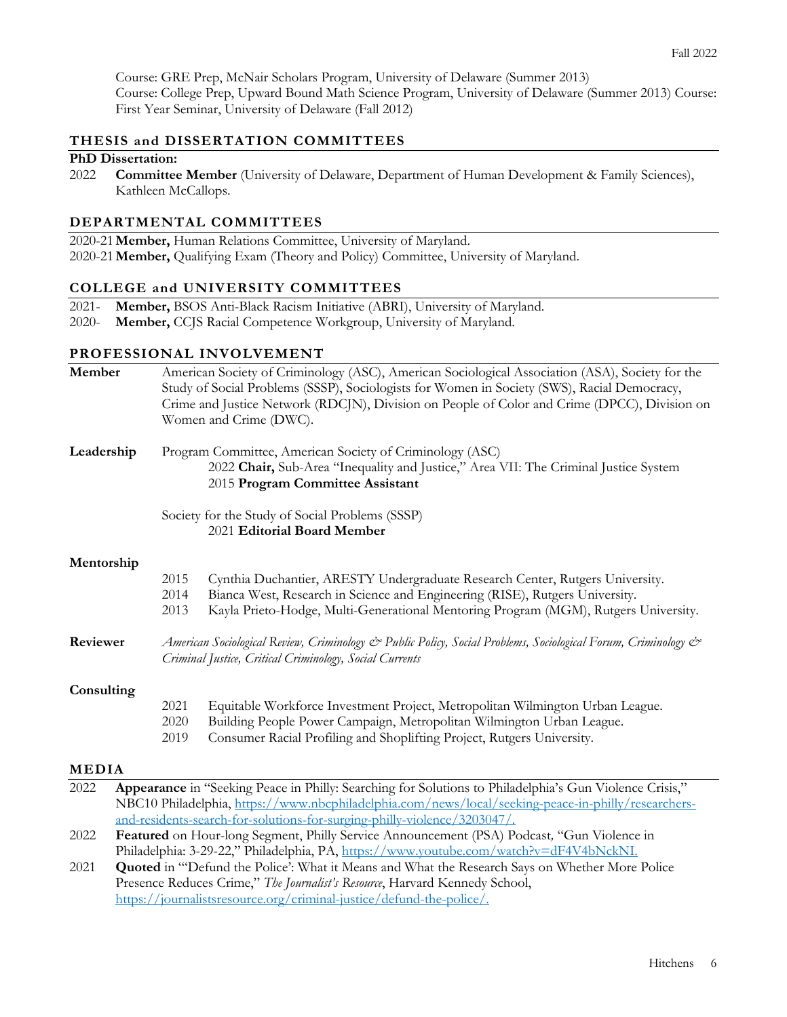Course: GRE Prep, McNair Scholars Program, University of Delaware (Summer 2013) Course: College Prep, Upward Bound Math Science Program, University of Delaware (Summer 2013) Course: First Year Seminar, University of Delaware (Fall 2012)

# **THESIS and DISSERTATION COMMITTEES**

## **PhD Dissertation:**

2022 **Committee Member** (University of Delaware, Department of Human Development & Family Sciences), Kathleen McCallops.

### **DEPARTMENTAL COMMITTEES**

2020-21**Member,** Human Relations Committee, University of Maryland. 2020-21**Member,** Qualifying Exam (Theory and Policy) Committee, University of Maryland.

### **COLLEGE and UNIVERSITY COMMITTEES**

- 2021- **Member,** BSOS Anti-Black Racism Initiative (ABRI), University of Maryland.
- 2020- **Member,** CCJS Racial Competence Workgroup, University of Maryland.

# **PROFESSIONAL INVOLVEMENT**

| Member                                                                         | American Society of Criminology (ASC), American Sociological Association (ASA), Society for the<br>Study of Social Problems (SSSP), Sociologists for Women in Society (SWS), Racial Democracy,<br>Crime and Justice Network (RDCJN), Division on People of Color and Crime (DPCC), Division on<br>Women and Crime (DWC). |                      |                                                                                                                                                                                                                                                      |
|--------------------------------------------------------------------------------|--------------------------------------------------------------------------------------------------------------------------------------------------------------------------------------------------------------------------------------------------------------------------------------------------------------------------|----------------------|------------------------------------------------------------------------------------------------------------------------------------------------------------------------------------------------------------------------------------------------------|
| Leadership                                                                     |                                                                                                                                                                                                                                                                                                                          |                      | Program Committee, American Society of Criminology (ASC)<br>2022 Chair, Sub-Area "Inequality and Justice," Area VII: The Criminal Justice System<br>2015 Program Committee Assistant                                                                 |
| Society for the Study of Social Problems (SSSP)<br>2021 Editorial Board Member |                                                                                                                                                                                                                                                                                                                          |                      |                                                                                                                                                                                                                                                      |
| Mentorship                                                                     |                                                                                                                                                                                                                                                                                                                          |                      |                                                                                                                                                                                                                                                      |
|                                                                                |                                                                                                                                                                                                                                                                                                                          | 2015<br>2014<br>2013 | Cynthia Duchantier, ARESTY Undergraduate Research Center, Rutgers University.<br>Bianca West, Research in Science and Engineering (RISE), Rutgers University.<br>Kayla Prieto-Hodge, Multi-Generational Mentoring Program (MGM), Rutgers University. |
| Reviewer                                                                       | American Sociological Review, Criminology & Public Policy, Social Problems, Sociological Forum, Criminology &<br>Criminal Justice, Critical Criminology, Social Currents                                                                                                                                                 |                      |                                                                                                                                                                                                                                                      |
| Consulting                                                                     |                                                                                                                                                                                                                                                                                                                          |                      |                                                                                                                                                                                                                                                      |
|                                                                                |                                                                                                                                                                                                                                                                                                                          | 2021<br>2020<br>2019 | Equitable Workforce Investment Project, Metropolitan Wilmington Urban League.<br>Building People Power Campaign, Metropolitan Wilmington Urban League.<br>Consumer Racial Profiling and Shoplifting Project, Rutgers University.                     |
| <b>MEDIA</b>                                                                   |                                                                                                                                                                                                                                                                                                                          |                      |                                                                                                                                                                                                                                                      |
| 2022                                                                           |                                                                                                                                                                                                                                                                                                                          |                      | Appearance in "Seeking Peace in Philly: Searching for Solutions to Philadelphia's Gun Violence Crisis,"<br>NBC10 Philadelphia, https://www.nbcphiladelphia.com/news/local/seeking-peace-in-philly/researchers-                                       |
|                                                                                |                                                                                                                                                                                                                                                                                                                          |                      | and-residents-search-for-solutions-for-surging-philly-violence/3203047/.                                                                                                                                                                             |
| 2022                                                                           |                                                                                                                                                                                                                                                                                                                          |                      | Featured on Hour-long Segment, Philly Service Announcement (PSA) Podcast, "Gun Violence in                                                                                                                                                           |
|                                                                                |                                                                                                                                                                                                                                                                                                                          |                      | Philadelphia: 3-29-22," Philadelphia, PA, https://www.youtube.com/watch?v=dF4V4bNckNI.                                                                                                                                                               |
| 2021                                                                           | <b>Quoted</b> in "Defund the Police': What it Means and What the Research Says on Whether More Police                                                                                                                                                                                                                    |                      |                                                                                                                                                                                                                                                      |

Presence Reduces Crime," *The Journalist's Resource*, Harvard Kennedy School, https://journalistsresource.org/criminal-justice/defund-the-police/.